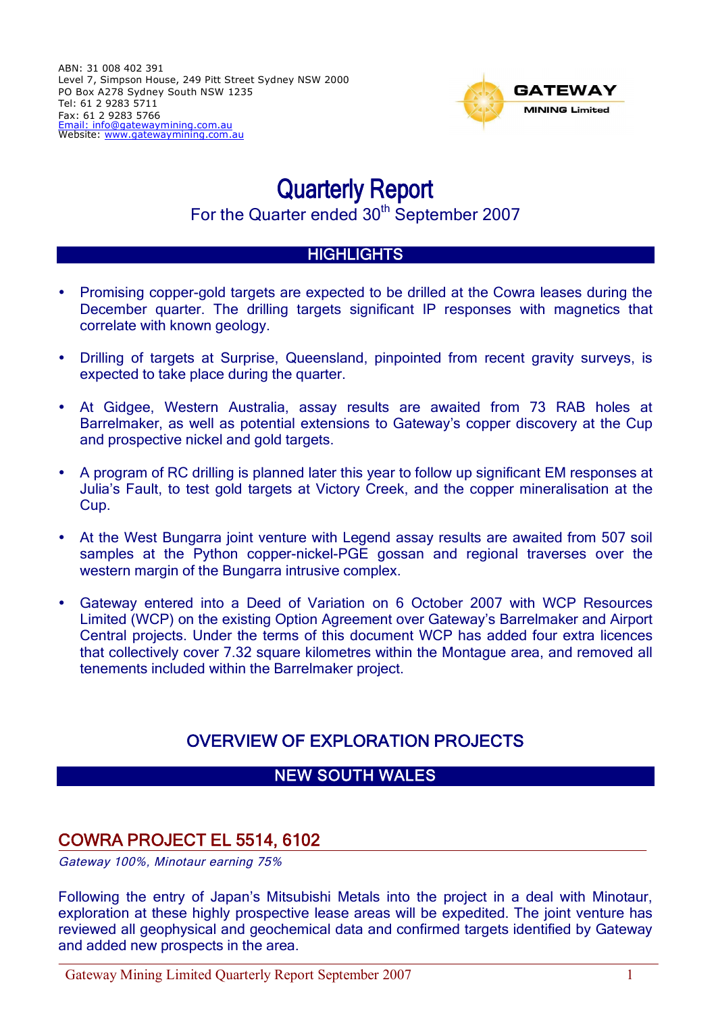

# Quarterly Report For the Quarter ended 30<sup>th</sup> September 2007

#### **HIGHLIGHTS**

- Promising copper-gold targets are expected to be drilled at the Cowra leases during the December quarter. The drilling targets significant IP responses with magnetics that correlate with known geology.
- Drilling of targets at Surprise, Queensland, pinpointed from recent gravity surveys, is expected to take place during the quarter.
- At Gidgee, Western Australia, assay results are awaited from 73 RAB holes at Barrelmaker, as well as potential extensions to Gateway's copper discovery at the Cup and prospective nickel and gold targets.
- A program of RC drilling is planned later this year to follow up significant EM responses at Julia's Fault, to test gold targets at Victory Creek, and the copper mineralisation at the Cup.
- At the West Bungarra joint venture with Legend assay results are awaited from 507 soil samples at the Python copper-nickel-PGE gossan and regional traverses over the western margin of the Bungarra intrusive complex.
- Gateway entered into a Deed of Variation on 6 October 2007 with WCP Resources Limited (WCP) on the existing Option Agreement over Gateway's Barrelmaker and Airport Central projects. Under the terms of this document WCP has added four extra licences that collectively cover 7.32 square kilometres within the Montague area, and removed all tenements included within the Barrelmaker project.

# OVERVIEW OF EXPLORATION PROJECTS

## NEW SOUTH WALES

## COWRA PROJECT EL 5514, 6102

Gateway 100%, Minotaur earning 75%

Following the entry of Japan's Mitsubishi Metals into the project in a deal with Minotaur, exploration at these highly prospective lease areas will be expedited. The joint venture has reviewed all geophysical and geochemical data and confirmed targets identified by Gateway and added new prospects in the area.

Gateway Mining Limited Quarterly Report September 2007 1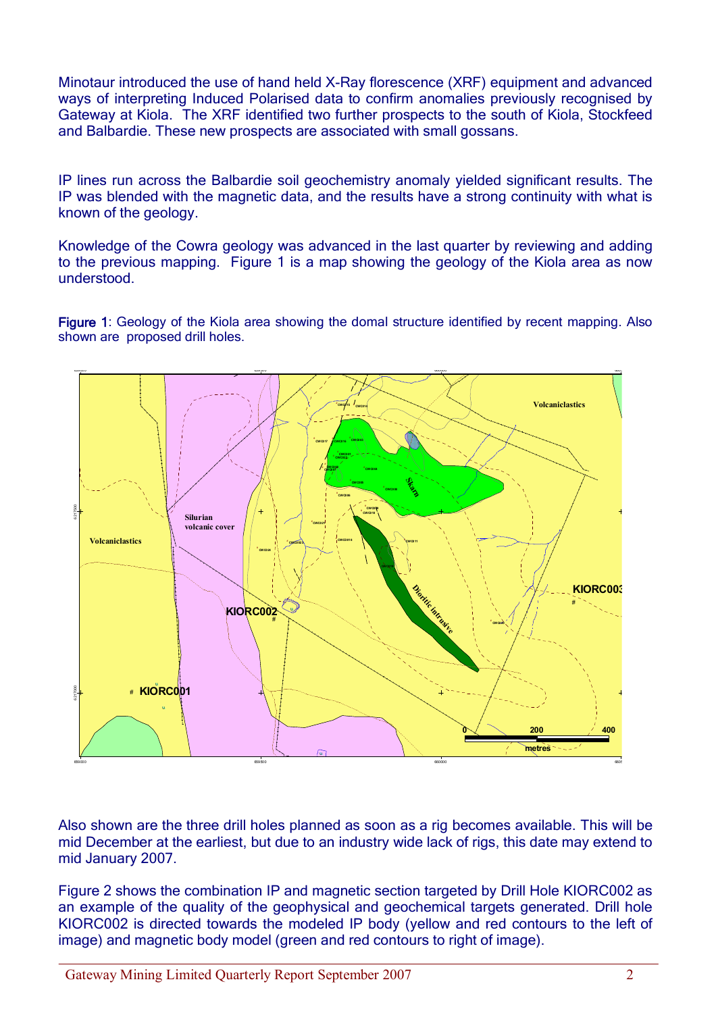Minotaur introduced the use of hand held X-Ray florescence (XRF) equipment and advanced ways of interpreting Induced Polarised data to confirm anomalies previously recognised by Gateway at Kiola. The XRF identified two further prospects to the south of Kiola, Stockfeed and Balbardie. These new prospects are associated with small gossans.

IP lines run across the Balbardie soil geochemistry anomaly yielded significant results. The IP was blended with the magnetic data, and the results have a strong continuity with what is known of the geology.

Knowledge of the Cowra geology was advanced in the last quarter by reviewing and adding to the previous mapping. Figure 1 is a map showing the geology of the Kiola area as now understood.

Figure 1: Geology of the Kiola area showing the domal structure identified by recent mapping. Also shown are proposed drill holes.



Also shown are the three drill holes planned as soon as a rig becomes available. This will be mid December at the earliest, but due to an industry wide lack of rigs, this date may extend to mid January 2007.

Figure 2 shows the combination IP and magnetic section targeted by Drill Hole KIORC002 as an example of the quality of the geophysical and geochemical targets generated. Drill hole KIORC002 is directed towards the modeled IP body (yellow and red contours to the left of image) and magnetic body model (green and red contours to right of image).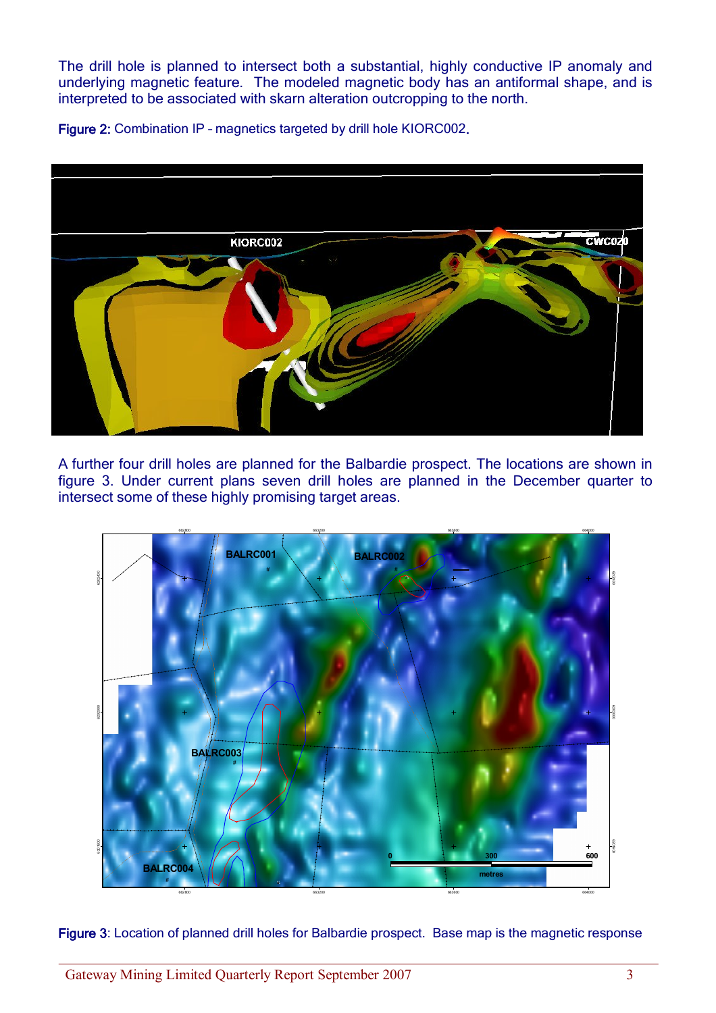The drill hole is planned to intersect both a substantial, highly conductive IP anomaly and underlying magnetic feature. The modeled magnetic body has an antiformal shape, and is interpreted to be associated with skarn alteration outcropping to the north.

Figure 2: Combination IP – magnetics targeted by drill hole KIORC002.



A further four drill holes are planned for the Balbardie prospect. The locations are shown in figure 3. Under current plans seven drill holes are planned in the December quarter to intersect some of these highly promising target areas.



Figure 3: Location of planned drill holes for Balbardie prospect. Base map is the magnetic response

Gateway Mining Limited Quarterly Report September 2007 3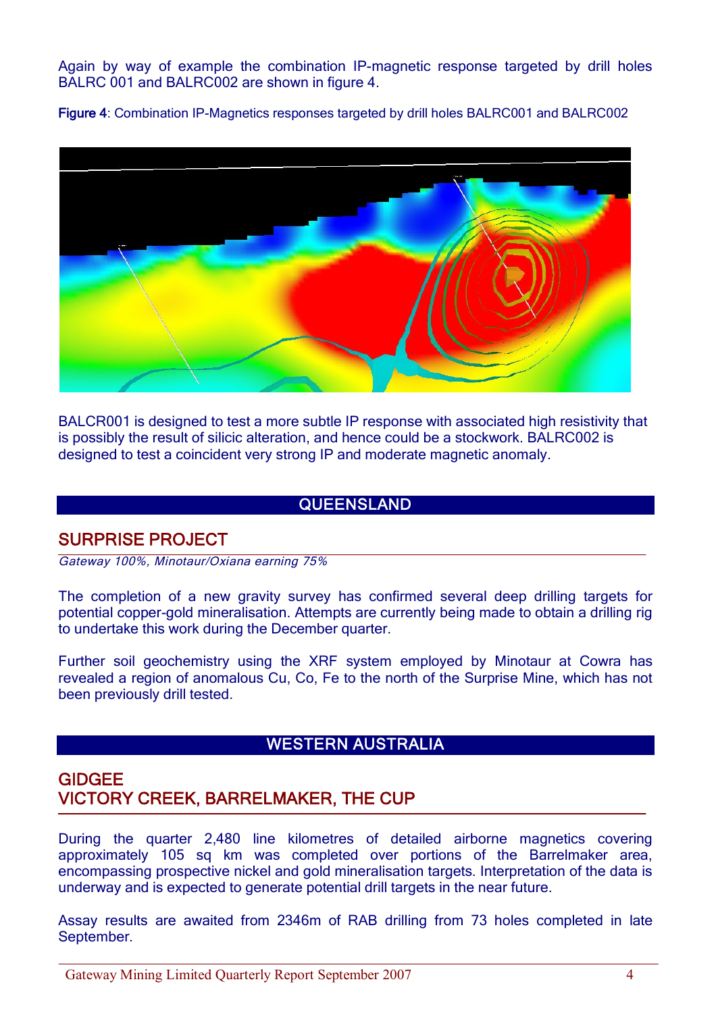Again by way of example the combination IP-magnetic response targeted by drill holes BALRC 001 and BALRC002 are shown in figure 4.

Figure 4: Combination IP-Magnetics responses targeted by drill holes BALRC001 and BALRC002



BALCR001 is designed to test a more subtle IP response with associated high resistivity that is possibly the result of silicic alteration, and hence could be a stockwork. BALRC002 is designed to test a coincident very strong IP and moderate magnetic anomaly.

#### **QUEENSLAND**

## SURPRISE PROJECT

Gateway 100%, Minotaur/Oxiana earning 75%

The completion of a new gravity survey has confirmed several deep drilling targets for potential copper-gold mineralisation. Attempts are currently being made to obtain a drilling rig to undertake this work during the December quarter.

Further soil geochemistry using the XRF system employed by Minotaur at Cowra has revealed a region of anomalous Cu, Co, Fe to the north of the Surprise Mine, which has not been previously drill tested.

#### WESTERN AUSTRALIA

## GIDGEE VICTORY CREEK, BARRELMAKER, THE CUP

During the quarter 2,480 line kilometres of detailed airborne magnetics covering approximately 105 sq km was completed over portions of the Barrelmaker area, encompassing prospective nickel and gold mineralisation targets. Interpretation of the data is underway and is expected to generate potential drill targets in the near future.

Assay results are awaited from 2346m of RAB drilling from 73 holes completed in late September.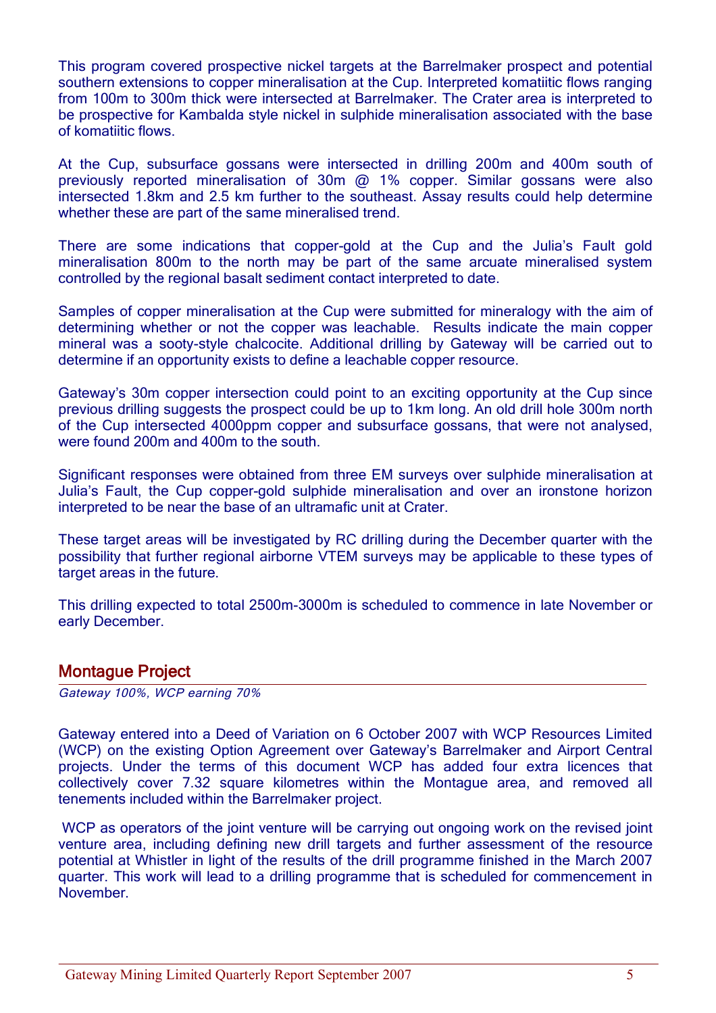This program covered prospective nickel targets at the Barrelmaker prospect and potential southern extensions to copper mineralisation at the Cup. Interpreted komatiitic flows ranging from 100m to 300m thick were intersected at Barrelmaker. The Crater area is interpreted to be prospective for Kambalda style nickel in sulphide mineralisation associated with the base of komatiitic flows.

At the Cup, subsurface gossans were intersected in drilling 200m and 400m south of previously reported mineralisation of  $30m$  @  $1\%$  copper. Similar gossans were also intersected 1.8km and 2.5 km further to the southeast. Assay results could help determine whether these are part of the same mineralised trend.

There are some indications that copper-gold at the Cup and the Julia's Fault gold mineralisation 800m to the north may be part of the same arcuate mineralised system controlled by the regional basalt sediment contact interpreted to date.

Samples of copper mineralisation at the Cup were submitted for mineralogy with the aim of determining whether or not the copper was leachable. Results indicate the main copper mineral was a sooty-style chalcocite. Additional drilling by Gateway will be carried out to determine if an opportunity exists to define a leachable copper resource.

Gateway's 30m copper intersection could point to an exciting opportunity at the Cup since previous drilling suggests the prospect could be up to 1km long. An old drill hole 300m north of the Cup intersected 4000ppm copper and subsurface gossans, that were not analysed, were found 200m and 400m to the south.

Significant responses were obtained from three EM surveys over sulphide mineralisation at Julia's Fault, the Cup copper-gold sulphide mineralisation and over an ironstone horizon interpreted to be near the base of an ultramafic unit at Crater.

These target areas will be investigated by RC drilling during the December quarter with the possibility that further regional airborne VTEM surveys may be applicable to these types of target areas in the future.

This drilling expected to total 2500m-3000m is scheduled to commence in late November or early December.

#### Montague Project

Gateway 100%, WCP earning 70%

Gateway entered into a Deed of Variation on 6 October 2007 with WCP Resources Limited (WCP) on the existing Option Agreement over Gateway's Barrelmaker and Airport Central projects. Under the terms of this document WCP has added four extra licences that collectively cover 7.32 square kilometres within the Montague area, and removed all tenements included within the Barrelmaker project.

WCP as operators of the joint venture will be carrying out ongoing work on the revised joint venture area, including defining new drill targets and further assessment of the resource potential at Whistler in light of the results of the drill programme finished in the March 2007 quarter. This work will lead to a drilling programme that is scheduled for commencement in November.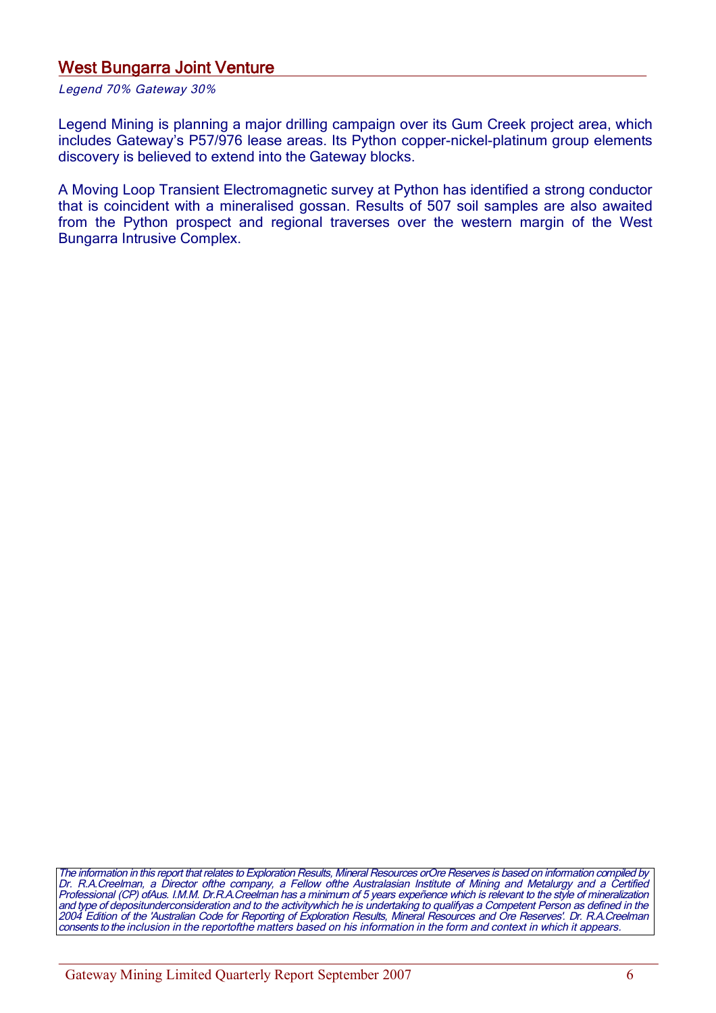#### West Bungarra Joint Venture

Legend 70% Gateway 30%

Legend Mining is planning a major drilling campaign over its Gum Creek project area, which includes Gateway's P57/976 lease areas. Its Python copper-nickel-platinum group elements discovery is believed to extend into the Gateway blocks.

A Moving Loop Transient Electromagnetic survey at Python has identified a strong conductor that is coincident with a mineralised gossan. Results of 507 soil samples are also awaited from the Python prospect and regional traverses over the western margin of the West Bungarra Intrusive Complex.

The information in this report that relates to Exploration Results, Mineral Resources orOre Reserves is based on information compiled by Dr. R.A.Creelman, <sup>a</sup> Director ofthe company, <sup>a</sup> Fellow ofthe Australasian Institute of Mining and Metalurgy and <sup>a</sup> Certified Professional (CP) ofAus. I.M.M. Dr.R.A.Creelman has <sup>a</sup> minimum of 5 years expeñence which is relevant to the style of mineralization and type of depositunderconsideration and to the activitywhich he is undertaking to qualifyas <sup>a</sup> Competent Person as defined in the 2004 Edition of the 'Australian Code for Reporting of Exploration Results, Mineral Resources and Ore Reserves'. Dr. R.A.Creelman consents to the inclusion in the reportofthe matters based on his information in the form and context in which it appears.